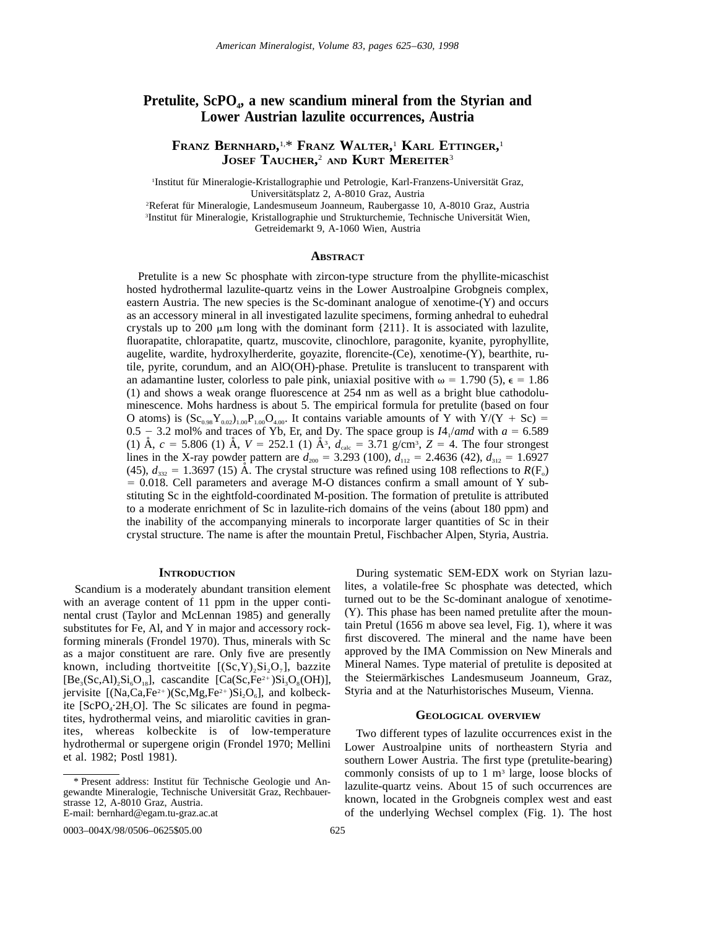# Pretulite, ScPO<sub>4</sub>, a new scandium mineral from the Styrian and **Lower Austrian lazulite occurrences, Austria**

## **FRANZ BERNHARD,** 1,\* **FRANZ WALTER,** <sup>1</sup> **KARL ETTINGER,** 1 **JOSEF TAUCHER,** <sup>2</sup> **AND KURT MEREITER**<sup>3</sup>

<sup>1</sup>Institut für Mineralogie-Kristallographie und Petrologie, Karl-Franzens-Universität Graz, Universitätsplatz 2, A-8010 Graz, Austria

<sup>2</sup>Referat für Mineralogie, Landesmuseum Joanneum, Raubergasse 10, A-8010 Graz, Austria <sup>3</sup>Institut für Mineralogie, Kristallographie und Strukturchemie, Technische Universität Wien, Getreidemarkt 9, A-1060 Wien, Austria

## **ABSTRACT**

Pretulite is a new Sc phosphate with zircon-type structure from the phyllite-micaschist hosted hydrothermal lazulite-quartz veins in the Lower Austroalpine Grobgneis complex, eastern Austria. The new species is the Sc-dominant analogue of xenotime-(Y) and occurs as an accessory mineral in all investigated lazulite specimens, forming anhedral to euhedral crystals up to 200  $\mu$ m long with the dominant form {211}. It is associated with lazulite, fluorapatite, chlorapatite, quartz, muscovite, clinochlore, paragonite, kyanite, pyrophyllite, augelite, wardite, hydroxylherderite, goyazite, florencite-(Ce), xenotime-(Y), bearthite, rutile, pyrite, corundum, and an AlO(OH)-phase. Pretulite is translucent to transparent with an adamantine luster, colorless to pale pink, uniaxial positive with  $\omega = 1.790$  (5),  $\epsilon = 1.86$ (1) and shows a weak orange fluorescence at 254 nm as well as a bright blue cathodoluminescence. Mohs hardness is about 5. The empirical formula for pretulite (based on four O atoms) is  $(Sc_{0.98}Y_{0.02})_{1.00}P_{1.00}O_{4.00}$ . It contains variable amounts of Y with Y/(Y + Sc) = 0.5 - 3.2 mol% and traces of Yb, Er, and Dy. The space group is  $I4_1$ /*amd* with  $a = 6.589$ (1) Å,  $c = 5.806$  (1) Å,  $V = 252.1$  (1) Å<sup>3</sup>,  $d_{\text{calc}} = 3.71$  g/cm<sup>3</sup>,  $Z = 4$ . The four strongest lines in the X-ray powder pattern are  $d_{200} = 3.293$  (100),  $d_{112} = 2.4636$  (42),  $d_{312} = 1.6927$ (45),  $d_{332} = 1.3697$  (15) Å. The crystal structure was refined using 108 reflections to  $R(F_0)$  $= 0.018$ . Cell parameters and average M-O distances confirm a small amount of Y substituting Sc in the eightfold-coordinated M-position. The formation of pretulite is attributed to a moderate enrichment of Sc in lazulite-rich domains of the veins (about 180 ppm) and the inability of the accompanying minerals to incorporate larger quantities of Sc in their crystal structure. The name is after the mountain Pretul, Fischbacher Alpen, Styria, Austria.

## **INTRODUCTION**

Scandium is a moderately abundant transition element with an average content of 11 ppm in the upper continental crust (Taylor and McLennan 1985) and generally substitutes for Fe, Al, and Y in major and accessory rockforming minerals (Frondel 1970). Thus, minerals with Sc as a major constituent are rare. Only five are presently known, including thortveitite  $[(Sc, Y), Si_2O_7]$ , bazzite  $[Be<sub>3</sub>(Sc, Al)<sub>2</sub>Si<sub>6</sub>O<sub>18</sub>]$ , cascandite  $[Ca(Sc,Fe<sup>2+</sup>)Si<sub>3</sub>O<sub>8</sub>(OH)]$ , jervisite  $[(Na, Ca, Fe^{2+})(Sc, Mg, Fe^{2+})Si<sub>2</sub>O<sub>6</sub>]$ , and kolbeckite  $[ScPO_{4} \tcdot 2H_{2}O]$ . The Sc silicates are found in pegmatites, hydrothermal veins, and miarolitic cavities in granites, whereas kolbeckite is of low-temperature hydrothermal or supergene origin (Frondel 1970; Mellini et al. 1982; Postl 1981).

## **GEOLOGICAL OVERVIEW**

Two different types of lazulite occurrences exist in the Lower Austroalpine units of northeastern Styria and southern Lower Austria. The first type (pretulite-bearing) commonly consists of up to  $1 \text{ m}^3$  large, loose blocks of lazulite-quartz veins. About 15 of such occurrences are known, located in the Grobgneis complex west and east of the underlying Wechsel complex (Fig. 1). The host

<sup>\*</sup> Present address: Institut fu¨r Technische Geologie und Angewandte Mineralogie, Technische Universität Graz, Rechbauerstrasse 12, A-8010 Graz, Austria. E-mail: bernhard@egam.tu-graz.ac.at

During systematic SEM-EDX work on Styrian lazulites, a volatile-free Sc phosphate was detected, which turned out to be the Sc-dominant analogue of xenotime- (Y). This phase has been named pretulite after the mountain Pretul (1656 m above sea level, Fig. 1), where it was first discovered. The mineral and the name have been approved by the IMA Commission on New Minerals and Mineral Names. Type material of pretulite is deposited at the Steiermärkisches Landesmuseum Joanneum, Graz, Styria and at the Naturhistorisches Museum, Vienna.

<sup>0003–004</sup>X/98/0506–0625\$05.00 625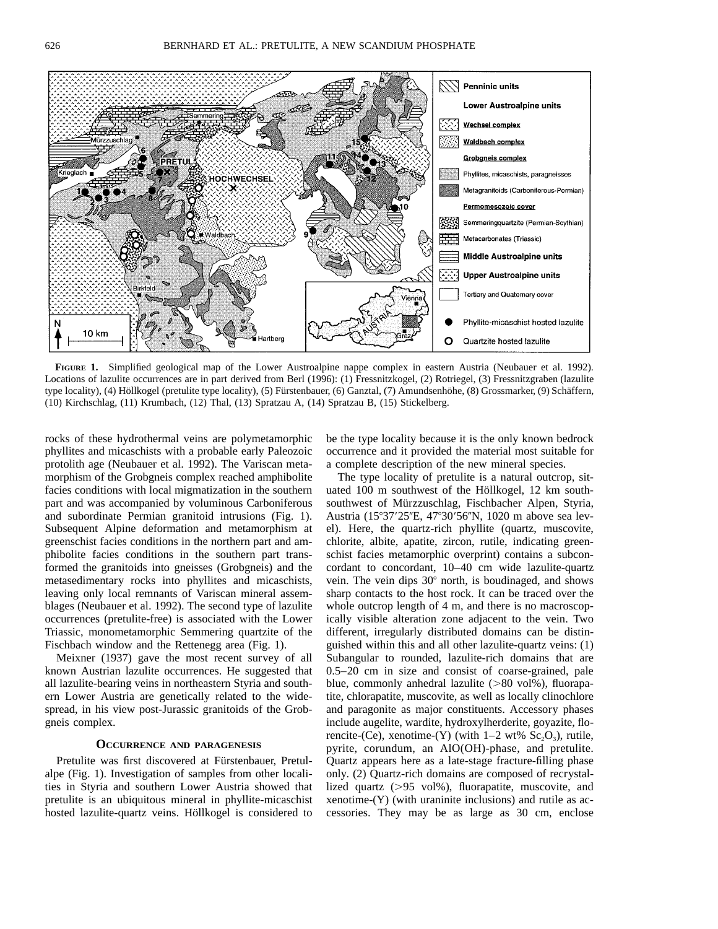

FIGURE 1. Simplified geological map of the Lower Austroalpine nappe complex in eastern Austria (Neubauer et al. 1992). Locations of lazulite occurrences are in part derived from Berl (1996): (1) Fressnitzkogel, (2) Rotriegel, (3) Fressnitzgraben (lazulite type locality), (4) Höllkogel (pretulite type locality), (5) Fürstenbauer, (6) Ganztal, (7) Amundsenhöhe, (8) Grossmarker, (9) Schäffern, (10) Kirchschlag, (11) Krumbach, (12) Thal, (13) Spratzau A, (14) Spratzau B, (15) Stickelberg.

rocks of these hydrothermal veins are polymetamorphic phyllites and micaschists with a probable early Paleozoic protolith age (Neubauer et al. 1992). The Variscan metamorphism of the Grobgneis complex reached amphibolite facies conditions with local migmatization in the southern part and was accompanied by voluminous Carboniferous and subordinate Permian granitoid intrusions (Fig. 1). Subsequent Alpine deformation and metamorphism at greenschist facies conditions in the northern part and amphibolite facies conditions in the southern part transformed the granitoids into gneisses (Grobgneis) and the metasedimentary rocks into phyllites and micaschists, leaving only local remnants of Variscan mineral assemblages (Neubauer et al. 1992). The second type of lazulite occurrences (pretulite-free) is associated with the Lower Triassic, monometamorphic Semmering quartzite of the Fischbach window and the Rettenegg area (Fig. 1).

Meixner (1937) gave the most recent survey of all known Austrian lazulite occurrences. He suggested that all lazulite-bearing veins in northeastern Styria and southern Lower Austria are genetically related to the widespread, in his view post-Jurassic granitoids of the Grobgneis complex.

## **OCCURRENCE AND PARAGENESIS**

Pretulite was first discovered at Fürstenbauer, Pretulalpe (Fig. 1). Investigation of samples from other localities in Styria and southern Lower Austria showed that pretulite is an ubiquitous mineral in phyllite-micaschist hosted lazulite-quartz veins. Höllkogel is considered to be the type locality because it is the only known bedrock occurrence and it provided the material most suitable for a complete description of the new mineral species.

The type locality of pretulite is a natural outcrop, situated 100 m southwest of the Höllkogel, 12 km southsouthwest of Mürzzuschlag, Fischbacher Alpen, Styria, Austria (15°37'25"E, 47°30'56"N, 1020 m above sea level). Here, the quartz-rich phyllite (quartz, muscovite, chlorite, albite, apatite, zircon, rutile, indicating greenschist facies metamorphic overprint) contains a subconcordant to concordant, 10–40 cm wide lazulite-quartz vein. The vein dips 30° north, is boudinaged, and shows sharp contacts to the host rock. It can be traced over the whole outcrop length of 4 m, and there is no macroscopically visible alteration zone adjacent to the vein. Two different, irregularly distributed domains can be distinguished within this and all other lazulite-quartz veins: (1) Subangular to rounded, lazulite-rich domains that are 0.5–20 cm in size and consist of coarse-grained, pale blue, commonly anhedral lazulite  $(>80 \text{ vol})$ %, fluorapatite, chlorapatite, muscovite, as well as locally clinochlore and paragonite as major constituents. Accessory phases include augelite, wardite, hydroxylherderite, goyazite, florencite-(Ce), xenotime-(Y) (with  $1-2$  wt%  $Sc<sub>2</sub>O<sub>3</sub>$ ), rutile, pyrite, corundum, an AlO(OH)-phase, and pretulite. Quartz appears here as a late-stage fracture-filling phase only. (2) Quartz-rich domains are composed of recrystallized quartz  $(>95 \text{ vol})$ , fluorapatite, muscovite, and xenotime-(Y) (with uraninite inclusions) and rutile as accessories. They may be as large as 30 cm, enclose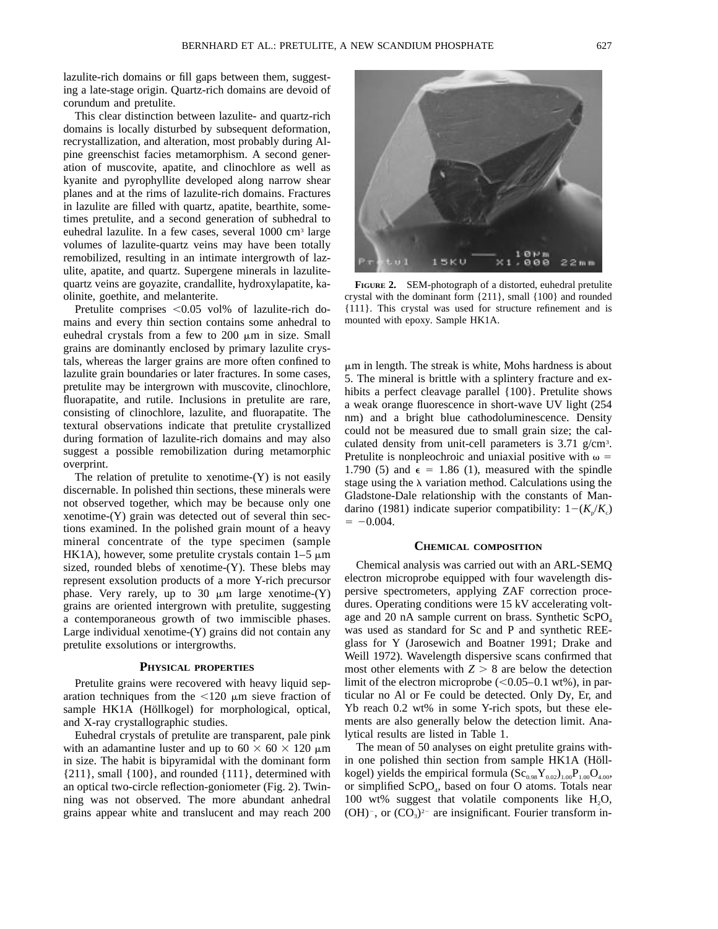lazulite-rich domains or fill gaps between them, suggesting a late-stage origin. Quartz-rich domains are devoid of corundum and pretulite.

This clear distinction between lazulite- and quartz-rich domains is locally disturbed by subsequent deformation, recrystallization, and alteration, most probably during Alpine greenschist facies metamorphism. A second generation of muscovite, apatite, and clinochlore as well as kyanite and pyrophyllite developed along narrow shear planes and at the rims of lazulite-rich domains. Fractures in lazulite are filled with quartz, apatite, bearthite, sometimes pretulite, and a second generation of subhedral to euhedral lazulite. In a few cases, several 1000 cm3 large volumes of lazulite-quartz veins may have been totally remobilized, resulting in an intimate intergrowth of lazulite, apatite, and quartz. Supergene minerals in lazulitequartz veins are goyazite, crandallite, hydroxylapatite, kaolinite, goethite, and melanterite.

Pretulite comprises  $< 0.05$  vol% of lazulite-rich domains and every thin section contains some anhedral to euhedral crystals from a few to  $200 \mu m$  in size. Small grains are dominantly enclosed by primary lazulite crystals, whereas the larger grains are more often confined to lazulite grain boundaries or later fractures. In some cases, pretulite may be intergrown with muscovite, clinochlore, fluorapatite, and rutile. Inclusions in pretulite are rare, consisting of clinochlore, lazulite, and fluorapatite. The textural observations indicate that pretulite crystallized during formation of lazulite-rich domains and may also suggest a possible remobilization during metamorphic overprint.

The relation of pretulite to xenotime- $(Y)$  is not easily discernable. In polished thin sections, these minerals were not observed together, which may be because only one xenotime-(Y) grain was detected out of several thin sections examined. In the polished grain mount of a heavy mineral concentrate of the type specimen (sample HK1A), however, some pretulite crystals contain  $1-5 \mu m$ sized, rounded blebs of xenotime-(Y). These blebs may represent exsolution products of a more Y-rich precursor phase. Very rarely, up to 30  $\mu$ m large xenotime-(Y) grains are oriented intergrown with pretulite, suggesting a contemporaneous growth of two immiscible phases. Large individual xenotime-(Y) grains did not contain any pretulite exsolutions or intergrowths.

#### **PHYSICAL PROPERTIES**

Pretulite grains were recovered with heavy liquid separation techniques from the  $\lt 120 \mu m$  sieve fraction of sample HK1A (Höllkogel) for morphological, optical, and X-ray crystallographic studies.

Euhedral crystals of pretulite are transparent, pale pink with an adamantine luster and up to  $60 \times 60 \times 120 \mu m$ in size. The habit is bipyramidal with the dominant form  ${211}$ , small  ${100}$ , and rounded  ${111}$ , determined with an optical two-circle reflection-goniometer (Fig. 2). Twinning was not observed. The more abundant anhedral grains appear white and translucent and may reach 200

orm<br>000

**FIGURE 2.** SEM-photograph of a distorted, euhedral pretulite crystal with the dominant form {211}, small {100} and rounded {111}. This crystal was used for structure refinement and is mounted with epoxy. Sample HK1A.

 $\mu$ m in length. The streak is white, Mohs hardness is about 5. The mineral is brittle with a splintery fracture and exhibits a perfect cleavage parallel {100}. Pretulite shows a weak orange fluorescence in short-wave UV light (254 nm) and a bright blue cathodoluminescence. Density could not be measured due to small grain size; the calculated density from unit-cell parameters is 3.71 g/cm<sup>3</sup>. Pretulite is nonpleochroic and uniaxial positive with  $\omega =$ 1.790 (5) and  $\epsilon = 1.86$  (1), measured with the spindle stage using the  $\lambda$  variation method. Calculations using the Gladstone-Dale relationship with the constants of Mandarino (1981) indicate superior compatibility:  $1-(K_p/K_c)$  $= -0.004$ .

## **CHEMICAL COMPOSITION**

Chemical analysis was carried out with an ARL-SEMQ electron microprobe equipped with four wavelength dispersive spectrometers, applying ZAF correction procedures. Operating conditions were 15 kV accelerating voltage and 20 nA sample current on brass. Synthetic ScPO<sub>4</sub> was used as standard for Sc and P and synthetic REEglass for Y (Jarosewich and Boatner 1991; Drake and Weill 1972). Wavelength dispersive scans confirmed that most other elements with  $Z > 8$  are below the detection limit of the electron microprobe  $(<0.05-0.1$  wt%), in particular no Al or Fe could be detected. Only Dy, Er, and Yb reach 0.2 wt% in some Y-rich spots, but these elements are also generally below the detection limit. Analytical results are listed in Table 1.

The mean of 50 analyses on eight pretulite grains within one polished thin section from sample HK1A (Höllkogel) yields the empirical formula  $(Sc_{0.98}Y_{0.02})_{1.00}P_{1.00}O_{4.00}$ , or simplified ScPO<sub>4</sub>, based on four O atoms. Totals near 100 wt% suggest that volatile components like  $H_2O$ ,  $(OH)^{-}$ , or  $(CO<sub>3</sub>)<sup>2-</sup>$  are insignificant. Fourier transform in-

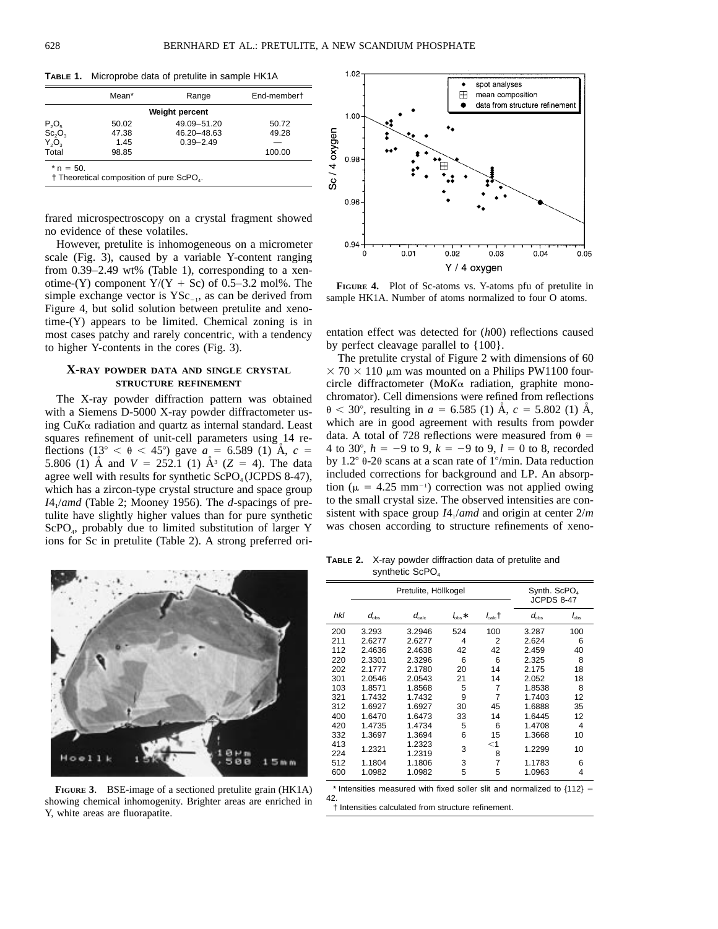**TABLE 1.** Microprobe data of pretulite in sample HK1A

|                                            | Mean* | Range                 | End-membert |
|--------------------------------------------|-------|-----------------------|-------------|
|                                            |       | <b>Weight percent</b> |             |
|                                            | 50.02 | 49.09-51.20           | 50.72       |
| $P_2O_5$<br>Sc <sub>2</sub> O <sub>3</sub> | 47.38 | 46.20-48.63           | 49.28       |
| $Y_2O_3$                                   | 1.45  | $0.39 - 2.49$         |             |
| Total                                      | 98.85 |                       | 100.00      |

frared microspectroscopy on a crystal fragment showed no evidence of these volatiles.

However, pretulite is inhomogeneous on a micrometer scale (Fig. 3), caused by a variable Y-content ranging from 0.39–2.49 wt% (Table 1), corresponding to a xenotime-(Y) component  $Y/(Y + Sc)$  of 0.5–3.2 mol%. The simple exchange vector is  $YSc_{-1}$ , as can be derived from Figure 4, but solid solution between pretulite and xenotime-(Y) appears to be limited. Chemical zoning is in most cases patchy and rarely concentric, with a tendency to higher Y-contents in the cores (Fig. 3).

## **X-RAY POWDER DATA AND SINGLE CRYSTAL STRUCTURE REFINEMENT**

The X-ray powder diffraction pattern was obtained with a Siemens D-5000 X-ray powder diffractometer using  $CuK\alpha$  radiation and quartz as internal standard. Least squares refinement of unit-cell parameters using 14 reflections (13° <  $\theta$  < 45°) gave *a* = 6.589 (1) Å, *c* = 5.806 (1)  $\AA$  and  $V = 252.1$  (1)  $\AA$ <sup>3</sup> ( $Z = 4$ ). The data agree well with results for synthetic  $ScPO<sub>4</sub>(JCPDS 8-47)$ , which has a zircon-type crystal structure and space group *I*41/*amd* (Table 2; Mooney 1956). The *d*-spacings of pretulite have slightly higher values than for pure synthetic ScPO<sub>4</sub>, probably due to limited substitution of larger Y ions for Sc in pretulite (Table 2). A strong preferred ori-



**FIGURE 3**. BSE-image of a sectioned pretulite grain (HK1A) showing chemical inhomogenity. Brighter areas are enriched in Y, white areas are fluorapatite.



**FIGURE 4.** Plot of Sc-atoms vs. Y-atoms pfu of pretulite in sample HK1A. Number of atoms normalized to four O atoms.

entation effect was detected for (*h*00) reflections caused by perfect cleavage parallel to {100}.

The pretulite crystal of Figure 2 with dimensions of 60  $\times$  70  $\times$  110 µm was mounted on a Philips PW1100 fourcircle diffractometer ( $M \circ K$  radiation, graphite monochromator). Cell dimensions were refined from reflections  $\theta$  < 30°, resulting in *a* = 6.585 (1) Å, *c* = 5.802 (1) Å, which are in good agreement with results from powder data. A total of 728 reflections were measured from  $\theta =$ 4 to 30°,  $h = -9$  to 9,  $k = -9$  to 9,  $l = 0$  to 8, recorded by 1.2 $\degree$  0-20 scans at a scan rate of 1 $\degree$ /min. Data reduction included corrections for background and LP. An absorption ( $\mu$  = 4.25 mm<sup>-1</sup>) correction was not applied owing to the small crystal size. The observed intensities are consistent with space group  $I4_1$ /*amd* and origin at center  $2/m$ was chosen according to structure refinements of xeno-

**TABLE 2.** X-ray powder diffraction data of pretulite and synthetic ScPO<sub>4</sub>

|     |               | Pretulite, Höllkogel    | Synth. ScPO<br>JCPDS 8-47 |                  |               |               |
|-----|---------------|-------------------------|---------------------------|------------------|---------------|---------------|
| hkl | $d_{\rm obs}$ | $d_{\hbox{\tiny calc}}$ | $I_{\rm obs}$ *           | $l_{\rm calc}$ t | $d_{\rm obs}$ | $I_{\rm obs}$ |
| 200 | 3.293         | 3.2946                  | 524                       | 100              | 3.287         | 100           |
| 211 | 2.6277        | 2.6277                  | 4                         | 2                | 2.624         | 6             |
| 112 | 2.4636        | 2.4638                  | 42                        | 42               | 2.459         | 40            |
| 220 | 2.3301        | 2.3296                  | 6                         | 6                | 2.325         | 8             |
| 202 | 2.1777        | 2.1780                  | 20                        | 14               | 2.175         | 18            |
| 301 | 2.0546        | 2.0543                  | 21                        | 14               | 2.052         | 18            |
| 103 | 1.8571        | 1.8568                  | 5                         | 7                | 1.8538        | 8             |
| 321 | 1.7432        | 1.7432                  | 9                         | 7                | 1.7403        | 12            |
| 312 | 1.6927        | 1.6927                  | 30                        | 45               | 1.6888        | 35            |
| 400 | 1.6470        | 1.6473                  | 33                        | 14               | 1.6445        | 12            |
| 420 | 1.4735        | 1.4734                  | 5                         | 6                | 1.4708        | 4             |
| 332 | 1.3697        | 1.3694                  | 6                         | 15               | 1.3668        | 10            |
| 413 | 1.2321        | 1.2323                  | 3                         | $<$ 1            | 1.2299        | 10            |
| 224 |               | 1.2319                  |                           | 8                |               |               |
| 512 | 1.1804        | 1.1806                  | 3                         | 7                | 1.1783        | 6             |
| 600 | 1.0982        | 1.0982                  | 5                         | 5                | 1.0963        | 4             |

\* Intensities measured with fixed soller slit and normalized to  ${112} =$ 42.

† Intensities calculated from structure refinement.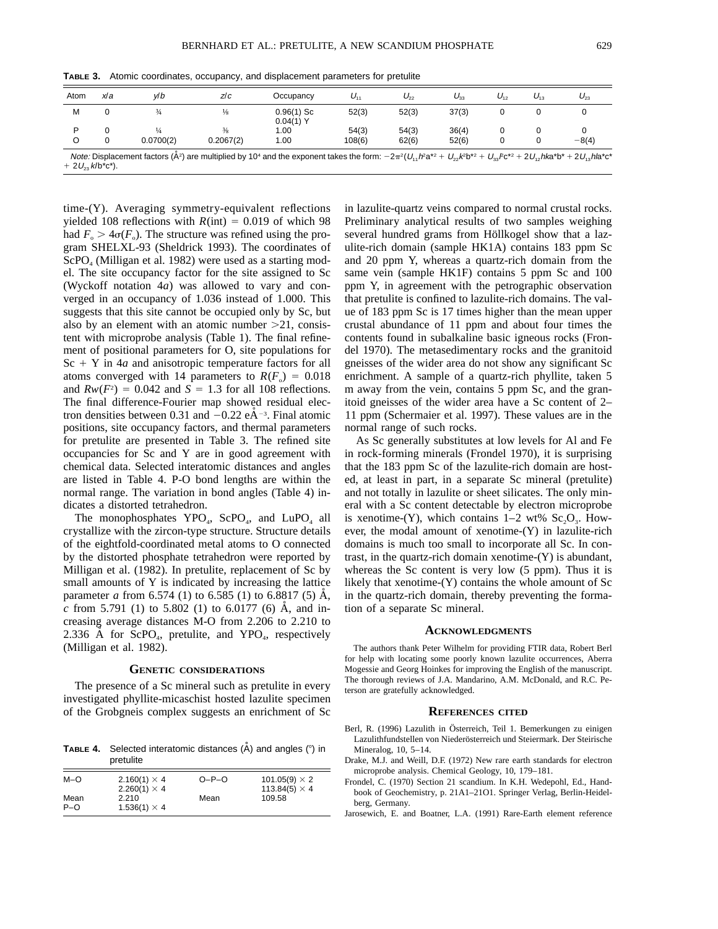| Atom | x∣a | v/b           | z/c           | Occupancy                   | $U_{11}$ | $U_{22}$ | $U_{33}$ | $U_{12}$ | $U_{13}$ | $U_{23}$ |
|------|-----|---------------|---------------|-----------------------------|----------|----------|----------|----------|----------|----------|
| М    |     | $\frac{3}{4}$ | $\frac{1}{8}$ | $0.96(1)$ Sc<br>$0.04(1)$ Y | 52(3)    | 52(3)    | 37(3)    |          |          |          |
| D    |     |               | $\frac{3}{8}$ | 1.00                        | 54(3)    | 54(3)    | 36(4)    |          |          |          |
|      |     | 0.0700(2)     | 0.2067(2)     | 1.00                        | 108(6)   | 62(6)    | 52(6)    |          |          | $-8(4)$  |

**TABLE 3.** Atomic coordinates, occupancy, and displacement parameters for pretulite

time-(Y). Averaging symmetry-equivalent reflections yielded 108 reflections with  $R(int) = 0.019$  of which 98 had  $F_{0} > 4\sigma(F_{0})$ . The structure was refined using the program SHELXL-93 (Sheldrick 1993). The coordinates of  $ScPO<sub>4</sub> (Milligan et al. 1982) were used as a starting mod$ el. The site occupancy factor for the site assigned to Sc (Wyckoff notation 4*a*) was allowed to vary and converged in an occupancy of 1.036 instead of 1.000. This suggests that this site cannot be occupied only by Sc, but also by an element with an atomic number  $>21$ , consistent with microprobe analysis (Table 1). The final refinement of positional parameters for O, site populations for  $Sc + Y$  in 4*a* and anisotropic temperature factors for all atoms converged with 14 parameters to  $R(F_0) = 0.018$ and  $Rw(F^2) = 0.042$  and  $S = 1.3$  for all 108 reflections. The final difference-Fourier map showed residual electron densities between 0.31 and  $-0.22$  eÅ<sup>-3</sup>. Final atomic positions, site occupancy factors, and thermal parameters for pretulite are presented in Table 3. The refined site occupancies for Sc and Y are in good agreement with chemical data. Selected interatomic distances and angles are listed in Table 4. P-O bond lengths are within the normal range. The variation in bond angles (Table 4) indicates a distorted tetrahedron.

The monophosphates YPO<sub>4</sub>, ScPO<sub>4</sub>, and LuPO<sub>4</sub> all crystallize with the zircon-type structure. Structure details of the eightfold-coordinated metal atoms to O connected by the distorted phosphate tetrahedron were reported by Milligan et al. (1982). In pretulite, replacement of Sc by small amounts of Y is indicated by increasing the lattice parameter *a* from 6.574 (1) to 6.585 (1) to 6.8817 (5)  $\AA$ , *c* from 5.791 (1) to 5.802 (1) to 6.0177 (6)  $\dot{A}$ , and increasing average distances M-O from 2.206 to 2.210 to 2.336 Å for  $\text{ScPO}_4$ , pretulite, and YPO<sub>4</sub>, respectively (Milligan et al. 1982).

### **GENETIC CONSIDERATIONS**

The presence of a Sc mineral such as pretulite in every investigated phyllite-micaschist hosted lazulite specimen of the Grobgneis complex suggests an enrichment of Sc

**TABLE 4.** Selected interatomic distances (Å) and angles (°) in pretulite

| $M-O$ | $2.160(1) \times 4$ | $O-P-O$ | 101.05(9) $\times$ 2 |
|-------|---------------------|---------|----------------------|
|       | $2.260(1) \times 4$ |         | 113.84(5) $\times$ 4 |
| Mean  | 2.210               | Mean    | 109.58               |
| $P-O$ | $1.536(1) \times 4$ |         |                      |

in lazulite-quartz veins compared to normal crustal rocks. Preliminary analytical results of two samples weighing several hundred grams from Höllkogel show that a lazulite-rich domain (sample HK1A) contains 183 ppm Sc and 20 ppm Y, whereas a quartz-rich domain from the same vein (sample HK1F) contains 5 ppm Sc and 100 ppm Y, in agreement with the petrographic observation that pretulite is confined to lazulite-rich domains. The value of 183 ppm Sc is 17 times higher than the mean upper crustal abundance of 11 ppm and about four times the contents found in subalkaline basic igneous rocks (Frondel 1970). The metasedimentary rocks and the granitoid gneisses of the wider area do not show any significant Sc enrichment. A sample of a quartz-rich phyllite, taken 5 m away from the vein, contains 5 ppm Sc, and the granitoid gneisses of the wider area have a Sc content of 2– 11 ppm (Schermaier et al. 1997). These values are in the normal range of such rocks.

As Sc generally substitutes at low levels for Al and Fe in rock-forming minerals (Frondel 1970), it is surprising that the 183 ppm Sc of the lazulite-rich domain are hosted, at least in part, in a separate Sc mineral (pretulite) and not totally in lazulite or sheet silicates. The only mineral with a Sc content detectable by electron microprobe is xenotime-(Y), which contains  $1-2$  wt%  $Sc_2O_3$ . However, the modal amount of xenotime-(Y) in lazulite-rich domains is much too small to incorporate all Sc. In contrast, in the quartz-rich domain xenotime-(Y) is abundant, whereas the Sc content is very low (5 ppm). Thus it is likely that xenotime- $(Y)$  contains the whole amount of Sc in the quartz-rich domain, thereby preventing the formation of a separate Sc mineral.

#### **ACKNOWLEDGMENTS**

The authors thank Peter Wilhelm for providing FTIR data, Robert Berl for help with locating some poorly known lazulite occurrences, Aberra Mogessie and Georg Hoinkes for improving the English of the manuscript. The thorough reviews of J.A. Mandarino, A.M. McDonald, and R.C. Peterson are gratefully acknowledged.

#### **REFERENCES CITED**

- Berl, R. (1996) Lazulith in Österreich, Teil 1. Bemerkungen zu einigen Lazulithfundstellen von Niederösterreich und Steiermark. Der Steirische Mineralog, 10, 5–14.
- Drake, M.J. and Weill, D.F. (1972) New rare earth standards for electron microprobe analysis. Chemical Geology, 10, 179–181.
- Frondel, C. (1970) Section 21 scandium. In K.H. Wedepohl, Ed., Handbook of Geochemistry, p. 21A1–21O1. Springer Verlag, Berlin-Heidelberg, Germany.
- Jarosewich, E. and Boatner, L.A. (1991) Rare-Earth element reference